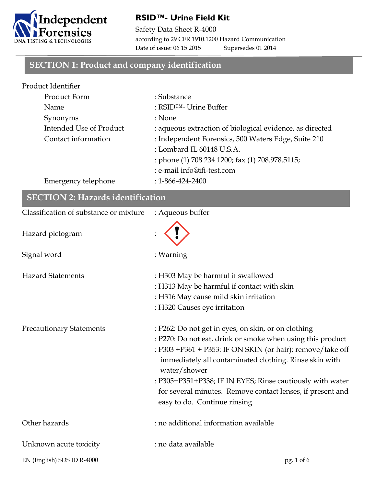

#### **RSID™- Urine Field Kit**

Safety Data Sheet R-4000 according to 29 CFR 1910.1200 Hazard Communication Date of issue: 06 15 2015 Supersedes 01 2014

#### **SECTION 1: Product and company identification**

| Product Identifier      |                                                          |
|-------------------------|----------------------------------------------------------|
| Product Form            | : Substance                                              |
| Name                    | : $RSID^{TM}$ - Urine Buffer                             |
| Synonyms                | : None                                                   |
| Intended Use of Product | : aqueous extraction of biological evidence, as directed |
| Contact information     | : Independent Forensics, 500 Waters Edge, Suite 210      |
|                         | : Lombard IL 60148 U.S.A.                                |
|                         | : phone (1) 708.234.1200; fax (1) 708.978.5115;          |
|                         | : e-mail info@ifi-test.com                               |
| Emergency telephone     | $: 1 - 866 - 424 - 2400$                                 |

| <b>SECTION 2: Hazards identification</b> |                                                                        |  |
|------------------------------------------|------------------------------------------------------------------------|--|
| Classification of substance or mixture   | : Aqueous buffer                                                       |  |
| Hazard pictogram                         |                                                                        |  |
| Signal word                              | : Warning                                                              |  |
| <b>Hazard Statements</b>                 | : H303 May be harmful if swallowed                                     |  |
|                                          | : H313 May be harmful if contact with skin                             |  |
|                                          | : H316 May cause mild skin irritation                                  |  |
|                                          | : H320 Causes eye irritation                                           |  |
| <b>Precautionary Statements</b>          | : P262: Do not get in eyes, on skin, or on clothing                    |  |
|                                          | : P270: Do not eat, drink or smoke when using this product             |  |
|                                          | : P303 +P361 + P353: IF ON SKIN (or hair); remove/take off             |  |
|                                          | immediately all contaminated clothing. Rinse skin with<br>water/shower |  |
|                                          | : P305+P351+P338; IF IN EYES; Rinse cautiously with water              |  |
|                                          | for several minutes. Remove contact lenses, if present and             |  |
|                                          | easy to do. Continue rinsing                                           |  |
| Other hazards                            | : no additional information available                                  |  |
| Unknown acute toxicity                   | : no data available                                                    |  |
| EN (English) SDS ID R-4000               | pg. 1 of 6                                                             |  |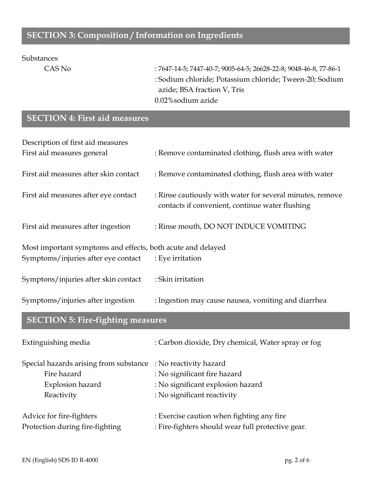#### **SECTION 3: Composition / Information on Ingredients**

#### Substances

CAS No : 7647-14-5; 7447-40-7; 9005-64-5; 26628-22-8; 9048-46-8, 77-86-1 : Sodium chloride; Potassium chloride; Tween-20; Sodium azide; BSA fraction V, Tris 0.02%sodium azide

#### **SECTION 4: First aid measures**

| Description of first aid measures                           |                                                                                                              |  |
|-------------------------------------------------------------|--------------------------------------------------------------------------------------------------------------|--|
| First aid measures general                                  | : Remove contaminated clothing, flush area with water                                                        |  |
| First aid measures after skin contact                       | : Remove contaminated clothing, flush area with water                                                        |  |
| First aid measures after eye contact                        | : Rinse cautiously with water for several minutes, remove<br>contacts if convenient, continue water flushing |  |
| First aid measures after ingestion                          | : Rinse mouth, DO NOT INDUCE VOMITING                                                                        |  |
| Most important symptoms and effects, both acute and delayed |                                                                                                              |  |
| Symptoms/injuries after eye contact                         | : Eye irritation                                                                                             |  |
| Symptons/injuries after skin contact                        | : Skin irritation                                                                                            |  |
| Symptoms/injuries after ingestion                           | : Ingestion may cause nausea, vomiting and diarrhea                                                          |  |

## **SECTION 5: Fire-fighting measures**

| Extinguishing media                                           | : Carbon dioxide, Dry chemical, Water spray or fog |
|---------------------------------------------------------------|----------------------------------------------------|
| Special hazards arising from substance : No reactivity hazard |                                                    |
| Fire hazard                                                   | : No significant fire hazard                       |
| Explosion hazard                                              | : No significant explosion hazard                  |
| Reactivity                                                    | : No significant reactivity                        |
| Advice for fire-fighters                                      | : Exercise caution when fighting any fire          |
| Protection during fire-fighting                               | : Fire-fighters should wear full protective gear.  |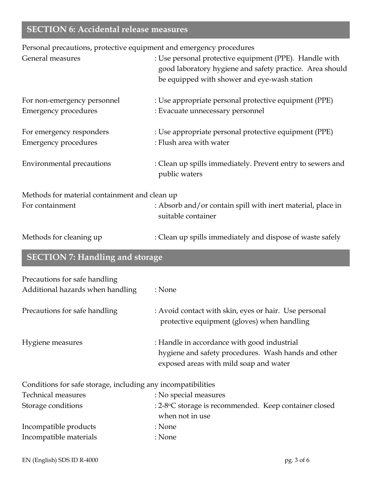## **SECTION 6: Accidental release measures**

Personal precautions, protective equipment and emergency procedures

| General measures                                                  | : Use personal protective equipment (PPE). Handle with<br>good laboratory hygiene and safety practice. Area should<br>be equipped with shower and eye-wash station |
|-------------------------------------------------------------------|--------------------------------------------------------------------------------------------------------------------------------------------------------------------|
| For non-emergency personnel<br><b>Emergency procedures</b>        | : Use appropriate personal protective equipment (PPE)<br>: Evacuate unnecessary personnel                                                                          |
| For emergency responders<br><b>Emergency procedures</b>           | : Use appropriate personal protective equipment (PPE)<br>: Flush area with water                                                                                   |
| <b>Environmental precautions</b>                                  | : Clean up spills immediately. Prevent entry to sewers and<br>public waters                                                                                        |
| Methods for material containment and clean up                     |                                                                                                                                                                    |
| For containment                                                   | : Absorb and/or contain spill with inert material, place in<br>suitable container                                                                                  |
| Methods for cleaning up                                           | : Clean up spills immediately and dispose of waste safely                                                                                                          |
| <b>SECTION 7: Handling and storage</b>                            |                                                                                                                                                                    |
| Precautions for safe handling<br>Additional hazards when handling | : None                                                                                                                                                             |
| Precautions for safe handling                                     | : Avoid contact with skin, eyes or hair. Use personal<br>protective equipment (gloves) when handling                                                               |
| Hygiene measures                                                  | : Handle in accordance with good industrial<br>hygiene and safety procedures. Wash hands and other<br>exposed areas with mild soap and water                       |
| Conditions for safe storage, including any incompatibilities      |                                                                                                                                                                    |
| <b>Technical measures</b>                                         | : No special measures                                                                                                                                              |
| Storage conditions                                                | : 2-8°C storage is recommended. Keep container closed<br>when not in use                                                                                           |
| Incompatible products                                             | : None                                                                                                                                                             |
| Incompatible materials                                            | : None                                                                                                                                                             |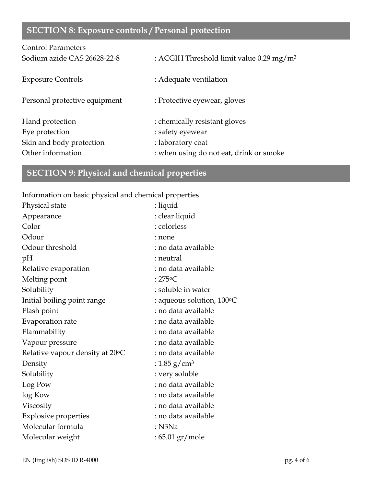# **SECTION 8: Exposure controls / Personal protection**

| <b>Control Parameters</b>     |                                                      |
|-------------------------------|------------------------------------------------------|
| Sodium azide CAS 26628-22-8   | : ACGIH Threshold limit value 0.29 mg/m <sup>3</sup> |
| <b>Exposure Controls</b>      | : Adequate ventilation                               |
| Personal protective equipment | : Protective eyewear, gloves                         |
| Hand protection               | : chemically resistant gloves                        |
| Eye protection                | : safety eyewear                                     |
| Skin and body protection      | : laboratory coat                                    |
| Other information             | : when using do not eat, drink or smoke              |

# **SECTION 9: Physical and chemical properties**

Information on basic physical and chemical properties

| Physical state                  | : liquid                  |
|---------------------------------|---------------------------|
| Appearance                      | : clear liquid            |
| Color                           | : colorless               |
| Odour                           | : none                    |
| Odour threshold                 | : no data available       |
| pH                              | : neutral                 |
| Relative evaporation            | : no data available       |
| Melting point                   | : $275^{\circ}$ C         |
| Solubility                      | : soluble in water        |
| Initial boiling point range     | : aqueous solution, 100°C |
| Flash point                     | : no data available       |
| Evaporation rate                | : no data available       |
| Flammability                    | : no data available       |
| Vapour pressure                 | : no data available       |
| Relative vapour density at 20°C | : no data available       |
| Density                         | : 1.85 g/cm <sup>3</sup>  |
| Solubility                      | : very soluble            |
| Log Pow                         | : no data available       |
| log Kow                         | : no data available       |
| Viscosity                       | : no data available       |
| <b>Explosive properties</b>     | : no data available       |
| Molecular formula               | $:$ N3Na                  |
| Molecular weight                | : 65.01 gr/mole           |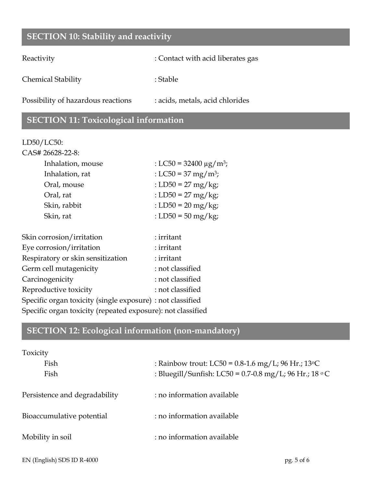#### **SECTION 10: Stability and reactivity**

Reactivity : Contact with acid liberates gas

Chemical Stability : Stable : Stable

Possibility of hazardous reactions : acids, metals, acid chlorides

#### **SECTION 11: Toxicological information**

#### LD50/LC50:

| CAS# 26628-22-8:  |                                         |
|-------------------|-----------------------------------------|
| Inhalation, mouse | : LC50 = 32400 $\mu$ g/m <sup>3</sup> ; |
| Inhalation, rat   | : LC50 = 37 mg/m <sup>3</sup> ;         |
| Oral, mouse       | : LD50 = 27 mg/kg;                      |
| Oral, rat         | : LD50 = 27 mg/kg;                      |
| Skin, rabbit      | : LD50 = $20 \text{ mg/kg}$ ;           |
| Skin, rat         | : LD50 = 50 mg/kg;                      |
|                   |                                         |

| Skin corrosion/irritation                                   | : irritant       |
|-------------------------------------------------------------|------------------|
| Eye corrosion/irritation                                    | : irritant       |
| Respiratory or skin sensitization                           | : irritant       |
| Germ cell mutagenicity                                      | : not classified |
| Carcinogenicity                                             | : not classified |
| Reproductive toxicity                                       | : not classified |
| Specific organ toxicity (single exposure) : not classified  |                  |
| Specific organ toxicity (repeated exposure): not classified |                  |
|                                                             |                  |

## **SECTION 12: Ecological information (non-mandatory)**

| Toxicity                      |                                                        |
|-------------------------------|--------------------------------------------------------|
| Fish                          | : Rainbow trout: LC50 = $0.8$ -1.6 mg/L; 96 Hr.; 13 °C |
| Fish                          | : Bluegill/Sunfish: LC50 = 0.7-0.8 mg/L; 96 Hr.; 18 °C |
| Persistence and degradability | : no information available                             |
| Bioaccumulative potential     | : no information available                             |
| Mobility in soil              | : no information available                             |
|                               |                                                        |